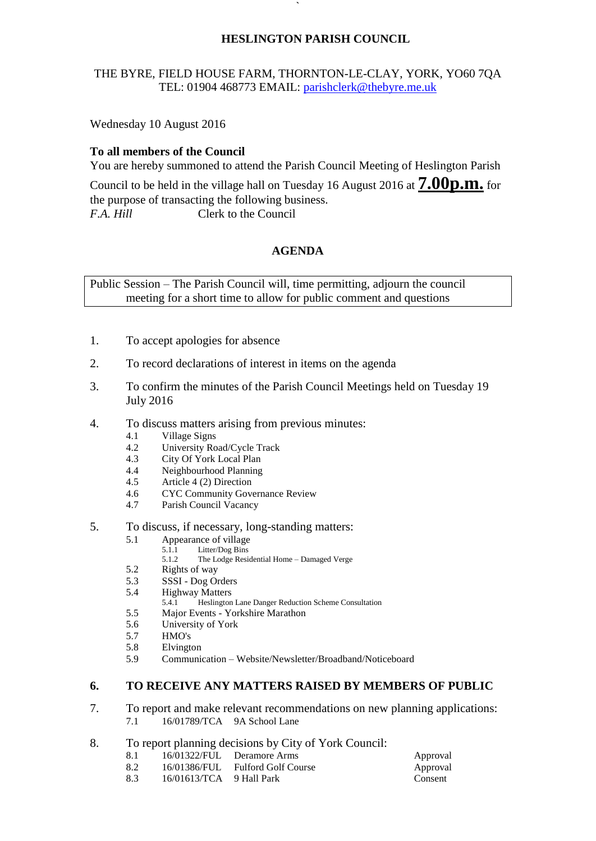### **HESLINGTON PARISH COUNCIL**

# THE BYRE, FIELD HOUSE FARM, THORNTON-LE-CLAY, YORK, YO60 7QA TEL: 01904 468773 EMAIL: [parishclerk@thebyre.me.uk](mailto:parishclerk@thebyre.me.uk)

**`** 

Wednesday 10 August 2016

### **To all members of the Council**

You are hereby summoned to attend the Parish Council Meeting of Heslington Parish

Council to be held in the village hall on Tuesday <sup>16</sup> August <sup>2016</sup> at **7.00p.m.** for the purpose of transacting the following business. *F.A. Hill* Clerk to the Council

# **AGENDA**

Public Session – The Parish Council will, time permitting, adjourn the council meeting for a short time to allow for public comment and questions

- 1. To accept apologies for absence
- 2. To record declarations of interest in items on the agenda
- 3. To confirm the minutes of the Parish Council Meetings held on Tuesday 19 July 2016
- 4. To discuss matters arising from previous minutes:
	- 4.1 Village Signs
	- 4.2 University Road/Cycle Track<br>4.3 City Of York Local Plan
	- City Of York Local Plan
	- 4.4 Neighbourhood Planning
	- 4.5 Article 4 (2) Direction
	- 4.6 CYC Community Governance Review
	- 4.7 Parish Council Vacancy
- 5. To discuss, if necessary, long-standing matters:
	- 5.1 Appearance of village
		- 5.1.1 Litter/Dog Bins<br>5.1.2 The Lodge Resi
		- The Lodge Residential Home Damaged Verge
	- 5.2 Rights of way
	- 5.3 SSSI Dog Orders
	- 5.4 Highway Matters<br>5.4.1 Heslington
		- 5.4.1 Heslington Lane Danger Reduction Scheme Consultation
	- 5.5 Major Events Yorkshire Marathon
	- 5.6 University of York
	- 5.7 HMO's
	- 5.8 Elvington
	- 5.9 Communication Website/Newsletter/Broadband/Noticeboard

#### **6. TO RECEIVE ANY MATTERS RAISED BY MEMBERS OF PUBLIC**

- 7. To report and make relevant recommendations on new planning applications: 7.1 16/01789/TCA 9A School Lane
- 8. To report planning decisions by City of York Council:
	- 8.1 16/01322/FUL Deramore Arms Approval
	- 8.2 16/01386/FUL Fulford Golf Course Approval
	- 8.3 16/01613/TCA 9 Hall Park Consent
-